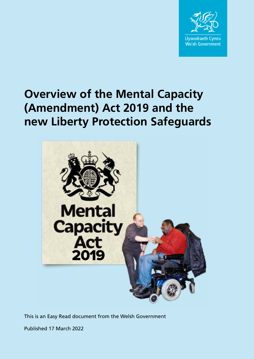

# **Overview of the Mental Capacity (Amendment) Act 2019 and the new Liberty Protection Safeguards**



This is an Easy Read document from the Welsh Government

Published 17 March 2022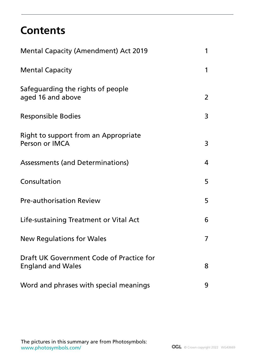#### **Contents**

| <b>Mental Capacity (Amendment) Act 2019</b>                          | 1              |
|----------------------------------------------------------------------|----------------|
| <b>Mental Capacity</b>                                               | 1              |
| Safeguarding the rights of people<br>aged 16 and above               | $\overline{2}$ |
| Responsible Bodies                                                   | 3              |
| Right to support from an Appropriate<br>Person or IMCA               | 3              |
| <b>Assessments (and Determinations)</b>                              | 4              |
| Consultation                                                         | 5              |
| <b>Pre-authorisation Review</b>                                      | 5              |
| Life-sustaining Treatment or Vital Act                               | 6              |
| <b>New Regulations for Wales</b>                                     | 7              |
| Draft UK Government Code of Practice for<br><b>England and Wales</b> | 8              |
| Word and phrases with special meanings                               | 9              |

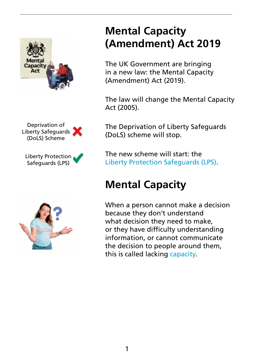

# **Mental Capacity (Amendment) Act 2019**

The UK Government are bringing in a new law: the Mental Capacity (Amendment) Act (2019).

The law will change the Mental Capacity Act (2005).

Deprivation of Liberty Safeguards (DoLS) Scheme

Liberty Protection Safeguards (LPS)



The Deprivation of Liberty Safeguards (DoLS) scheme will stop.

The new scheme will start: the Liberty Protection Safeguards (LPS).

# **Mental Capacity**

When a person cannot make a decision because they don't understand what decision they need to make, or they have difficulty understanding information, or cannot communicate the decision to people around them, this is called lacking capacity.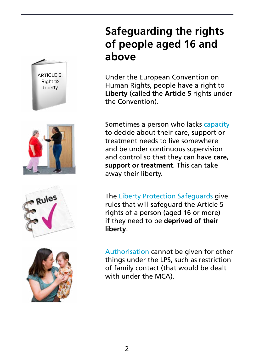ARTICLE 5: Right to Liberty







#### **Safeguarding the rights of people aged 16 and above**

Under the European Convention on Human Rights, people have a right to **Liberty** (called the **Article 5** rights under the Convention).

Sometimes a person who lacks capacity to decide about their care, support or treatment needs to live somewhere and be under continuous supervision and control so that they can have **care, support or treatment**. This can take away their liberty.

The Liberty Protection Safeguards give rules that will safeguard the Article 5 rights of a person (aged 16 or more) if they need to be **deprived of their liberty**.

Authorisation cannot be given for other things under the LPS, such as restriction of family contact (that would be dealt with under the MCA).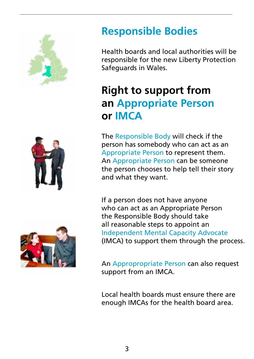

![](_page_4_Picture_1.jpeg)

![](_page_4_Picture_2.jpeg)

#### **Responsible Bodies**

Health boards and local authorities will be responsible for the new Liberty Protection Safeguards in Wales.

## **Right to support from an Appropriate Person or IMCA**

The Responsible Body will check if the person has somebody who can act as an Appropriate Person to represent them. An Appropriate Person can be someone the person chooses to help tell their story and what they want.

If a person does not have anyone who can act as an Appropriate Person the Responsible Body should take all reasonable steps to appoint an Independent Mental Capacity Advocate (IMCA) to support them through the process.

An Appropropriate Person can also request support from an IMCA.

Local health boards must ensure there are enough IMCAs for the health board area.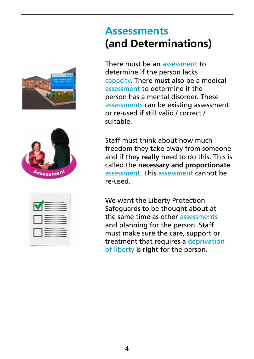![](_page_5_Picture_0.jpeg)

![](_page_5_Picture_1.jpeg)

| --                                   | the control of the control of the |
|--------------------------------------|-----------------------------------|
| the company's state of the company's |                                   |
| $\sim$                               |                                   |

#### **Assessments (and Determinations)**

There must be an assessment to determine if the person lacks capacity. There must also be a medical assessment to determine if the person has a mental disorder. These assessments can be existing assessment or re-used if still valid / correct / suitable.

Staff must think about how much freedom they take away from someone and if they **really** need to do this. This is called the **necessary and proportionate** assessment. This assessment cannot be re-used.

We want the Liberty Protection Safeguards to be thought about at the same time as other assessments and planning for the person. Staff must make sure the care, support or treatment that requires a deprivation of liberty is **right** for the person.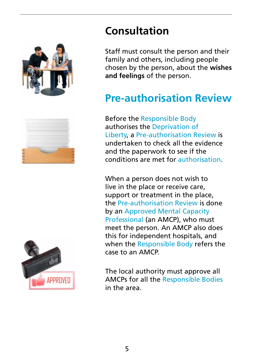![](_page_6_Picture_0.jpeg)

![](_page_6_Picture_1.jpeg)

![](_page_6_Picture_2.jpeg)

# **Consultation**

Staff must consult the person and their family and others, including people chosen by the person, about the **wishes and feelings** of the person.

#### **Pre-authorisation Review**

Before the Responsible Body authorises the Deprivation of Liberty, a Pre-authorisation Review is undertaken to check all the evidence and the paperwork to see if the conditions are met for authorisation.

When a person does not wish to live in the place or receive care, support or treatment in the place, the Pre-authorisation Review is done by an Approved Mental Capacity Professional (an AMCP), who must meet the person. An AMCP also does this for independent hospitals, and when the Responsible Body refers the case to an AMCP.

The local authority must approve all AMCPs for all the Responsible Bodies in the area.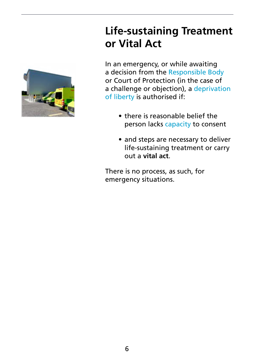# **Life-sustaining Treatment or Vital Act**

In an emergency, or while awaiting a decision from the Responsible Body or Court of Protection (in the case of a challenge or objection), a deprivation of liberty is authorised if:

- there is reasonable belief the person lacks capacity to consent
- and steps are necessary to deliver life-sustaining treatment or carry out a **vital act**.

There is no process, as such, for emergency situations.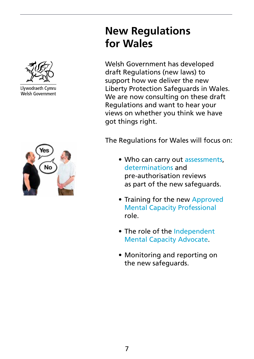![](_page_8_Picture_0.jpeg)

Llywodraeth Cymru Welsh Government

![](_page_8_Picture_2.jpeg)

## **New Regulations for Wales**

Welsh Government has developed draft Regulations (new laws) to support how we deliver the new Liberty Protection Safeguards in Wales. We are now consulting on these draft Regulations and want to hear your views on whether you think we have got things right.

The Regulations for Wales will focus on:

- Who can carry out assessments, determinations and pre-authorisation reviews as part of the new safeguards.
- Training for the new Approved Mental Capacity Professional role.
- The role of the Independent Mental Capacity Advocate.
- Monitoring and reporting on the new safeguards.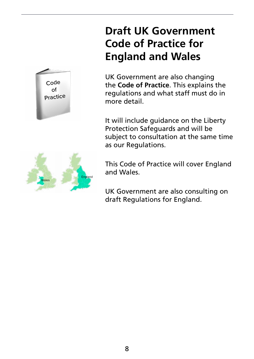![](_page_9_Picture_0.jpeg)

![](_page_9_Picture_1.jpeg)

# **Draft UK Government Code of Practice for England and Wales**

UK Government are also changing the **Code of Practice**. This explains the regulations and what staff must do in more detail.

It will include guidance on the Liberty Protection Safeguards and will be subject to consultation at the same time as our Regulations.

This Code of Practice will cover England and Wales.

UK Government are also consulting on draft Regulations for England.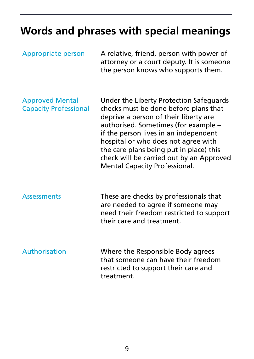# **Words and phrases with special meanings**

| <b>Appropriate person</b>                              | A relative, friend, person with power of<br>attorney or a court deputy. It is someone<br>the person knows who supports them.                                                                                                                                                                                                                                                     |
|--------------------------------------------------------|----------------------------------------------------------------------------------------------------------------------------------------------------------------------------------------------------------------------------------------------------------------------------------------------------------------------------------------------------------------------------------|
| <b>Approved Mental</b><br><b>Capacity Professional</b> | Under the Liberty Protection Safeguards<br>checks must be done before plans that<br>deprive a person of their liberty are<br>authorised. Sometimes (for example -<br>if the person lives in an independent<br>hospital or who does not agree with<br>the care plans being put in place) this<br>check will be carried out by an Approved<br><b>Mental Capacity Professional.</b> |
| <b>Assessments</b>                                     | These are checks by professionals that<br>are needed to agree if someone may<br>need their freedom restricted to support<br>their care and treatment.                                                                                                                                                                                                                            |
| Authorisation                                          | Where the Responsible Body agrees<br>that someone can have their freedom<br>restricted to support their care and<br>treatment.                                                                                                                                                                                                                                                   |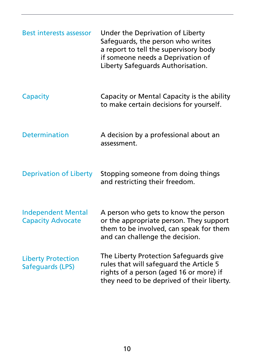| <b>Best interests assessor</b>                        | Under the Deprivation of Liberty<br>Safeguards, the person who writes<br>a report to tell the supervisory body<br>if someone needs a Deprivation of<br>Liberty Safeguards Authorisation. |
|-------------------------------------------------------|------------------------------------------------------------------------------------------------------------------------------------------------------------------------------------------|
| Capacity                                              | Capacity or Mental Capacity is the ability<br>to make certain decisions for yourself.                                                                                                    |
| <b>Determination</b>                                  | A decision by a professional about an<br>assessment.                                                                                                                                     |
| <b>Deprivation of Liberty</b>                         | Stopping someone from doing things<br>and restricting their freedom.                                                                                                                     |
| <b>Independent Mental</b><br><b>Capacity Advocate</b> | A person who gets to know the person<br>or the appropriate person. They support<br>them to be involved, can speak for them<br>and can challenge the decision.                            |
| <b>Liberty Protection</b><br>Safeguards (LPS)         | The Liberty Protection Safeguards give<br>rules that will safeguard the Article 5<br>rights of a person (aged 16 or more) if<br>they need to be deprived of their liberty.               |